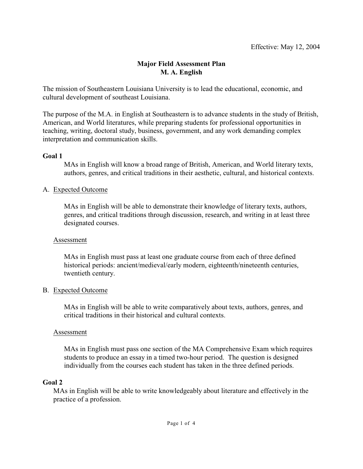## **Major Field Assessment Plan M. A. English**

The mission of Southeastern Louisiana University is to lead the educational, economic, and cultural development of southeast Louisiana.

The purpose of the M.A. in English at Southeastern is to advance students in the study of British, American, and World literatures, while preparing students for professional opportunities in teaching, writing, doctoral study, business, government, and any work demanding complex interpretation and communication skills.

## **Goal 1**

MAs in English will know a broad range of British, American, and World literary texts, authors, genres, and critical traditions in their aesthetic, cultural, and historical contexts.

## A. Expected Outcome

MAs in English will be able to demonstrate their knowledge of literary texts, authors, genres, and critical traditions through discussion, research, and writing in at least three designated courses.

### Assessment

MAs in English must pass at least one graduate course from each of three defined historical periods: ancient/medieval/early modern, eighteenth/nineteenth centuries, twentieth century.

### B. Expected Outcome

MAs in English will be able to write comparatively about texts, authors, genres, and critical traditions in their historical and cultural contexts.

### Assessment

MAs in English must pass one section of the MA Comprehensive Exam which requires students to produce an essay in a timed two-hour period. The question is designed individually from the courses each student has taken in the three defined periods.

### **Goal 2**

MAs in English will be able to write knowledgeably about literature and effectively in the practice of a profession.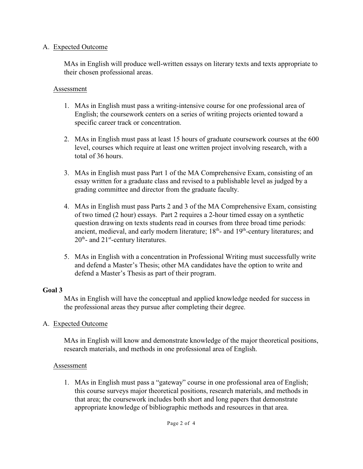### A. Expected Outcome

MAs in English will produce well-written essays on literary texts and texts appropriate to their chosen professional areas.

### Assessment

- 1. MAs in English must pass a writing-intensive course for one professional area of English; the coursework centers on a series of writing projects oriented toward a specific career track or concentration.
- 2. MAs in English must pass at least 15 hours of graduate coursework courses at the 600 level, courses which require at least one written project involving research, with a total of 36 hours.
- 3. MAs in English must pass Part 1 of the MA Comprehensive Exam, consisting of an essay written for a graduate class and revised to a publishable level as judged by a grading committee and director from the graduate faculty.
- 4. MAs in English must pass Parts 2 and 3 of the MA Comprehensive Exam, consisting of two timed (2 hour) essays. Part 2 requires a 2-hour timed essay on a synthetic question drawing on texts students read in courses from three broad time periods: ancient, medieval, and early modern literature;  $18<sup>th</sup>$ - and  $19<sup>th</sup>$ -century literatures; and  $20<sup>th</sup>$ - and  $21<sup>st</sup>$ -century literatures.
- 5. MAs in English with a concentration in Professional Writing must successfully write and defend a Master's Thesis; other MA candidates have the option to write and defend a Master's Thesis as part of their program.

# **Goal 3**

MAs in English will have the conceptual and applied knowledge needed for success in the professional areas they pursue after completing their degree.

# A. Expected Outcome

MAs in English will know and demonstrate knowledge of the major theoretical positions, research materials, and methods in one professional area of English.

# Assessment

1. MAs in English must pass a "gateway" course in one professional area of English; this course surveys major theoretical positions, research materials, and methods in that area; the coursework includes both short and long papers that demonstrate appropriate knowledge of bibliographic methods and resources in that area.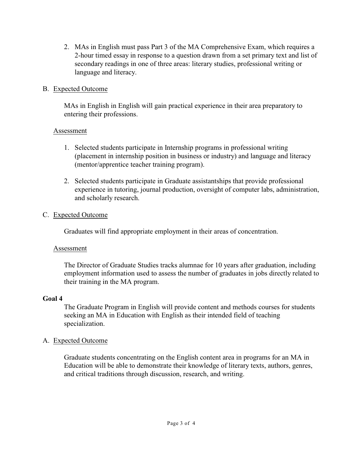2. MAs in English must pass Part 3 of the MA Comprehensive Exam, which requires a 2-hour timed essay in response to a question drawn from a set primary text and list of secondary readings in one of three areas: literary studies, professional writing or language and literacy.

## B. Expected Outcome

MAs in English in English will gain practical experience in their area preparatory to entering their professions.

## Assessment

- 1. Selected students participate in Internship programs in professional writing (placement in internship position in business or industry) and language and literacy (mentor/apprentice teacher training program).
- 2. Selected students participate in Graduate assistantships that provide professional experience in tutoring, journal production, oversight of computer labs, administration, and scholarly research.

# C. Expected Outcome

Graduates will find appropriate employment in their areas of concentration.

# Assessment

The Director of Graduate Studies tracks alumnae for 10 years after graduation, including employment information used to assess the number of graduates in jobs directly related to their training in the MA program.

# **Goal 4**

The Graduate Program in English will provide content and methods courses for students seeking an MA in Education with English as their intended field of teaching specialization.

# A. Expected Outcome

Graduate students concentrating on the English content area in programs for an MA in Education will be able to demonstrate their knowledge of literary texts, authors, genres, and critical traditions through discussion, research, and writing.